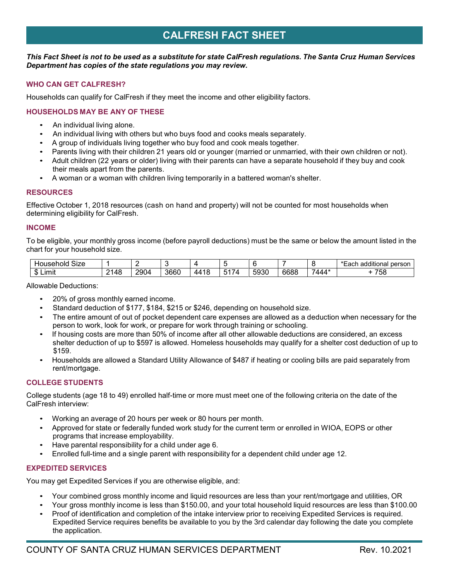# **CALFRESH FACT SHEET**

### This Fact Sheet is not to be used as a substitute for state CalFresh regulations. The Santa Cruz Human Services *Department has copies of the state regulations you may review.*

# **WHO CAN GET CALFRESH?**

Households can qualify for CalFresh if they meet the income and other eligibility factors.

# **HOUSEHOLDS MAY BE ANY OF THESE**

- An individual living alone.
- An individual living with others but who buys food and cooks meals separately.
- A group of individuals living together who buy food and cook meals together.
- Parents living with their children 21 years old or younger (married or unmarried, with their own children or not).
- Adult children (22 years or older) living with their parents can have a separate household if they buy and cook their meals apart from the parents.
- A woman or a woman with children living temporarily in a battered woman's shelter.

## **RESOURCES**

Effective October 1, 2018 resources (cash on hand and property) will not be counted for most households when determining eligibility for CalFresh.

## **INCOME**

To be eligible, your monthly gross income (before payroll deductions) must be the same or below the amount listed in the chart for your household size.

| $\sim$<br>SIZE<br>HOL<br>usehold |                                 |      |      |                      |                                                 |      |      |       | .<br>additional<br>person |
|----------------------------------|---------------------------------|------|------|----------------------|-------------------------------------------------|------|------|-------|---------------------------|
| m<br>∟ımı'<br>ш<br>۰D            | $\sim$<br>4۶،<br>᠇◡<br><u>_</u> | 2904 | 3660 | . 4 C<br>44<br>- 1 С | $\overline{\phantom{a}}$<br>٠<br>- 71<br>∽<br>ູ | 5930 | 6688 | '444* | $- - -$<br>ಾರ             |

Allowable Deductions:

- 20% of gross monthly earned income.
- Standard deduction of \$177, \$184, \$215 or \$246, depending on household size.
- The entire amount of out of pocket dependent care expenses are allowed as a deduction when necessary for the person to work, look for work, or prepare for work through training or schooling.
- If housing costs are more than 50% of income after all other allowable deductions are considered, an excess shelter deduction of up to \$597 is allowed. Homeless households may qualify for a shelter cost deduction of up to \$159.
- Households are allowed a Standard Utility Allowance of \$487 if heating or cooling bills are paid separately from rent/mortgage.

# **COLLEGE STUDENTS**

College students (age 18 to 49) enrolled half-time or more must meet one of the following criteria on the date of the CalFresh interview:

- Working an average of 20 hours per week or 80 hours per month.
- Approved for state or federally funded work study for the current term or enrolled in WIOA, EOPS or other programs that increase employability.
- Have parental responsibility for a child under age 6.
- Enrolled full-time and a single parent with responsibility for a dependent child under age 12.

# **EXPEDITED SERVICES**

You may get Expedited Services if you are otherwise eligible, and:

- Your combined gross monthly income and liquid resources are less than your rent/mortgage and utilities, OR
- Your gross monthly income is less than \$150.00, and your total household liquid resources are less than \$100.00
- Proof of identification and completion of the intake interview prior to receiving Expedited Services is required. Expedited Service requires benefits be available to you by the 3rd calendar day following the date you complete the application.